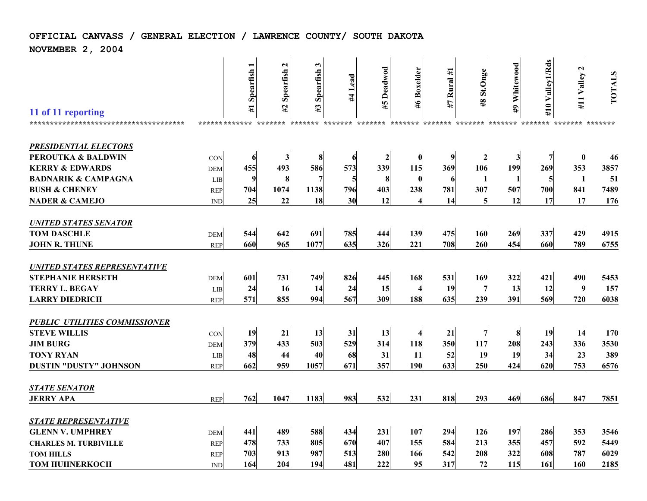## **OFFICIAL CANVASS / GENERAL ELECTION / LAWRENCE COUNTY/ SOUTH DAKOTA**

**NOVEMBER 2, 2004**

| <b>PRESIDENTIAL ELECTORS</b><br>$\bf{0}$<br><b>PEROUTKA &amp; BALDWIN</b><br>46<br>6<br>3<br>8<br>$\boldsymbol{2}$<br>$\bf{0}$<br>$\overline{2}$<br>3<br>7<br>CON<br>6<br><b>KERRY &amp; EDWARDS</b><br>455<br>586<br>573<br>339<br>353<br>3857<br>493<br>369<br>106<br>199<br>115<br>269<br><b>DEM</b><br><b>BADNARIK &amp; CAMPAGNA</b><br>9<br>51<br>8<br>$\mathbf{1}$<br>LIB<br>8<br>7<br>5<br>$\mathbf 0$<br>5<br>6<br>7489<br><b>BUSH &amp; CHENEY</b><br>1074<br>704<br>1138<br>796<br>403<br>238<br>781<br>307<br>507<br>700<br>841<br><b>REP</b><br><b>NADER &amp; CAMEJO</b><br>25<br>22<br>17<br>176<br>18<br>30<br>12<br>14<br>12<br>17<br><b>IND</b><br><b>UNITED STATES SENATOR</b><br><b>TOM DASCHLE</b><br>544<br>642<br>691<br>269<br>337<br>429<br>785<br>139<br>475<br>160<br>4915<br>444<br><b>DEM</b><br>965<br><b>JOHN R. THUNE</b><br>660<br>1077<br>635<br>708<br>454<br>789<br>326<br>221<br>260<br>660<br>6755<br><b>REP</b><br><b>UNITED STATES REPRESENTATIVE</b><br><b>STEPHANIE HERSETH</b><br>601<br>731<br>826<br>749<br>169<br>322<br>421<br>490<br>5453<br>445<br>168<br>531<br><b>DEM</b><br><b>TERRY L. BEGAY</b><br>9<br>24<br>16<br>24<br>15<br>19<br>13<br>157<br>14<br>12<br>LIB<br>567<br><b>LARRY DIEDRICH</b><br>571<br>855<br>635<br>391<br>720<br>994<br>309<br>188<br>239<br>569<br>6038<br><b>REP</b><br><b>PUBLIC UTILITIES COMMISSIONER</b><br><b>STEVE WILLIS</b><br>19<br>21<br>13<br>8<br>14<br>170<br>13<br>31<br>21<br>19<br>CON<br>379<br><b>JIM BURG</b><br>433<br>529<br>3530<br>503<br>314<br>118<br>350<br>117<br>208<br>243<br>336<br><b>DEM</b><br><b>TONY RYAN</b><br>48<br>23<br>389<br>44<br>40<br>68<br>31<br>52<br>19<br>19<br>34<br>11<br>LIB<br>753<br><b>DUSTIN "DUSTY" JOHNSON</b><br>662<br>959<br>671<br>357<br>190<br>250<br>424<br>1057<br>633<br>620<br>6576<br><b>REP</b><br><b>STATE SENATOR</b><br>847<br>762<br>1047<br>983<br>818<br>293<br>469<br>686<br>1183<br>532<br>231<br>7851<br><b>JERRY APA</b><br><b>REP</b><br><b>STATE REPRESENTATIVE</b><br><b>GLENN V. UMPHREY</b><br>441<br>489<br>588<br>434<br>231<br>294<br>197<br>353<br>107<br>126<br>286<br>3546<br><b>DEM</b> | 11 of 11 reporting<br>************************************* | ************* | $\blacksquare$<br>#1 Spearfish | $\mathbf{z}$<br>Spearfish<br>#2<br>******* | 3<br>Spearfish<br>#3<br>******* | Lead<br>#<br>******* | Deadwod<br>#5<br>******* ******* ******* ******* | <b>Boxelder</b><br>9# | Rural #1<br>47 | St.Onge<br>$\overline{8}$ | #9 Whitewood<br>******* | #10 Valley1/Rds<br>******* | $\mathbf{c}$<br>#11 Valley<br>******** ******* | TOTALS |
|---------------------------------------------------------------------------------------------------------------------------------------------------------------------------------------------------------------------------------------------------------------------------------------------------------------------------------------------------------------------------------------------------------------------------------------------------------------------------------------------------------------------------------------------------------------------------------------------------------------------------------------------------------------------------------------------------------------------------------------------------------------------------------------------------------------------------------------------------------------------------------------------------------------------------------------------------------------------------------------------------------------------------------------------------------------------------------------------------------------------------------------------------------------------------------------------------------------------------------------------------------------------------------------------------------------------------------------------------------------------------------------------------------------------------------------------------------------------------------------------------------------------------------------------------------------------------------------------------------------------------------------------------------------------------------------------------------------------------------------------------------------------------------------------------------------------------------------------------------------------------------------------------------------------------------------------------------------------------------------------------------------------------------------------------------------------------------------------------------------------------------------------------------------------|-------------------------------------------------------------|---------------|--------------------------------|--------------------------------------------|---------------------------------|----------------------|--------------------------------------------------|-----------------------|----------------|---------------------------|-------------------------|----------------------------|------------------------------------------------|--------|
|                                                                                                                                                                                                                                                                                                                                                                                                                                                                                                                                                                                                                                                                                                                                                                                                                                                                                                                                                                                                                                                                                                                                                                                                                                                                                                                                                                                                                                                                                                                                                                                                                                                                                                                                                                                                                                                                                                                                                                                                                                                                                                                                                                     |                                                             |               |                                |                                            |                                 |                      |                                                  |                       |                |                           |                         |                            |                                                |        |
|                                                                                                                                                                                                                                                                                                                                                                                                                                                                                                                                                                                                                                                                                                                                                                                                                                                                                                                                                                                                                                                                                                                                                                                                                                                                                                                                                                                                                                                                                                                                                                                                                                                                                                                                                                                                                                                                                                                                                                                                                                                                                                                                                                     |                                                             |               |                                |                                            |                                 |                      |                                                  |                       |                |                           |                         |                            |                                                |        |
|                                                                                                                                                                                                                                                                                                                                                                                                                                                                                                                                                                                                                                                                                                                                                                                                                                                                                                                                                                                                                                                                                                                                                                                                                                                                                                                                                                                                                                                                                                                                                                                                                                                                                                                                                                                                                                                                                                                                                                                                                                                                                                                                                                     |                                                             |               |                                |                                            |                                 |                      |                                                  |                       |                |                           |                         |                            |                                                |        |
|                                                                                                                                                                                                                                                                                                                                                                                                                                                                                                                                                                                                                                                                                                                                                                                                                                                                                                                                                                                                                                                                                                                                                                                                                                                                                                                                                                                                                                                                                                                                                                                                                                                                                                                                                                                                                                                                                                                                                                                                                                                                                                                                                                     |                                                             |               |                                |                                            |                                 |                      |                                                  |                       |                |                           |                         |                            |                                                |        |
|                                                                                                                                                                                                                                                                                                                                                                                                                                                                                                                                                                                                                                                                                                                                                                                                                                                                                                                                                                                                                                                                                                                                                                                                                                                                                                                                                                                                                                                                                                                                                                                                                                                                                                                                                                                                                                                                                                                                                                                                                                                                                                                                                                     |                                                             |               |                                |                                            |                                 |                      |                                                  |                       |                |                           |                         |                            |                                                |        |
|                                                                                                                                                                                                                                                                                                                                                                                                                                                                                                                                                                                                                                                                                                                                                                                                                                                                                                                                                                                                                                                                                                                                                                                                                                                                                                                                                                                                                                                                                                                                                                                                                                                                                                                                                                                                                                                                                                                                                                                                                                                                                                                                                                     |                                                             |               |                                |                                            |                                 |                      |                                                  |                       |                |                           |                         |                            |                                                |        |
|                                                                                                                                                                                                                                                                                                                                                                                                                                                                                                                                                                                                                                                                                                                                                                                                                                                                                                                                                                                                                                                                                                                                                                                                                                                                                                                                                                                                                                                                                                                                                                                                                                                                                                                                                                                                                                                                                                                                                                                                                                                                                                                                                                     |                                                             |               |                                |                                            |                                 |                      |                                                  |                       |                |                           |                         |                            |                                                |        |
|                                                                                                                                                                                                                                                                                                                                                                                                                                                                                                                                                                                                                                                                                                                                                                                                                                                                                                                                                                                                                                                                                                                                                                                                                                                                                                                                                                                                                                                                                                                                                                                                                                                                                                                                                                                                                                                                                                                                                                                                                                                                                                                                                                     |                                                             |               |                                |                                            |                                 |                      |                                                  |                       |                |                           |                         |                            |                                                |        |
|                                                                                                                                                                                                                                                                                                                                                                                                                                                                                                                                                                                                                                                                                                                                                                                                                                                                                                                                                                                                                                                                                                                                                                                                                                                                                                                                                                                                                                                                                                                                                                                                                                                                                                                                                                                                                                                                                                                                                                                                                                                                                                                                                                     |                                                             |               |                                |                                            |                                 |                      |                                                  |                       |                |                           |                         |                            |                                                |        |
|                                                                                                                                                                                                                                                                                                                                                                                                                                                                                                                                                                                                                                                                                                                                                                                                                                                                                                                                                                                                                                                                                                                                                                                                                                                                                                                                                                                                                                                                                                                                                                                                                                                                                                                                                                                                                                                                                                                                                                                                                                                                                                                                                                     |                                                             |               |                                |                                            |                                 |                      |                                                  |                       |                |                           |                         |                            |                                                |        |
|                                                                                                                                                                                                                                                                                                                                                                                                                                                                                                                                                                                                                                                                                                                                                                                                                                                                                                                                                                                                                                                                                                                                                                                                                                                                                                                                                                                                                                                                                                                                                                                                                                                                                                                                                                                                                                                                                                                                                                                                                                                                                                                                                                     |                                                             |               |                                |                                            |                                 |                      |                                                  |                       |                |                           |                         |                            |                                                |        |
|                                                                                                                                                                                                                                                                                                                                                                                                                                                                                                                                                                                                                                                                                                                                                                                                                                                                                                                                                                                                                                                                                                                                                                                                                                                                                                                                                                                                                                                                                                                                                                                                                                                                                                                                                                                                                                                                                                                                                                                                                                                                                                                                                                     |                                                             |               |                                |                                            |                                 |                      |                                                  |                       |                |                           |                         |                            |                                                |        |
|                                                                                                                                                                                                                                                                                                                                                                                                                                                                                                                                                                                                                                                                                                                                                                                                                                                                                                                                                                                                                                                                                                                                                                                                                                                                                                                                                                                                                                                                                                                                                                                                                                                                                                                                                                                                                                                                                                                                                                                                                                                                                                                                                                     |                                                             |               |                                |                                            |                                 |                      |                                                  |                       |                |                           |                         |                            |                                                |        |
|                                                                                                                                                                                                                                                                                                                                                                                                                                                                                                                                                                                                                                                                                                                                                                                                                                                                                                                                                                                                                                                                                                                                                                                                                                                                                                                                                                                                                                                                                                                                                                                                                                                                                                                                                                                                                                                                                                                                                                                                                                                                                                                                                                     |                                                             |               |                                |                                            |                                 |                      |                                                  |                       |                |                           |                         |                            |                                                |        |
|                                                                                                                                                                                                                                                                                                                                                                                                                                                                                                                                                                                                                                                                                                                                                                                                                                                                                                                                                                                                                                                                                                                                                                                                                                                                                                                                                                                                                                                                                                                                                                                                                                                                                                                                                                                                                                                                                                                                                                                                                                                                                                                                                                     |                                                             |               |                                |                                            |                                 |                      |                                                  |                       |                |                           |                         |                            |                                                |        |
| 478<br>5449<br>733<br>805<br>670<br>407<br>155<br>584<br>213<br>355<br>457<br>592<br><b>CHARLES M. TURBIVILLE</b><br><b>REP</b>                                                                                                                                                                                                                                                                                                                                                                                                                                                                                                                                                                                                                                                                                                                                                                                                                                                                                                                                                                                                                                                                                                                                                                                                                                                                                                                                                                                                                                                                                                                                                                                                                                                                                                                                                                                                                                                                                                                                                                                                                                     |                                                             |               |                                |                                            |                                 |                      |                                                  |                       |                |                           |                         |                            |                                                |        |
| 6029<br>703<br>913<br>987<br>280<br>166<br>542<br>208<br>322<br>608<br>787<br><b>TOM HILLS</b><br>513<br><b>REP</b><br>164<br>204<br>481<br>222<br>95<br>317<br>72<br>2185<br><b>TOM HUHNERKOCH</b><br>194<br>115<br>161<br>160<br><b>IND</b>                                                                                                                                                                                                                                                                                                                                                                                                                                                                                                                                                                                                                                                                                                                                                                                                                                                                                                                                                                                                                                                                                                                                                                                                                                                                                                                                                                                                                                                                                                                                                                                                                                                                                                                                                                                                                                                                                                                       |                                                             |               |                                |                                            |                                 |                      |                                                  |                       |                |                           |                         |                            |                                                |        |